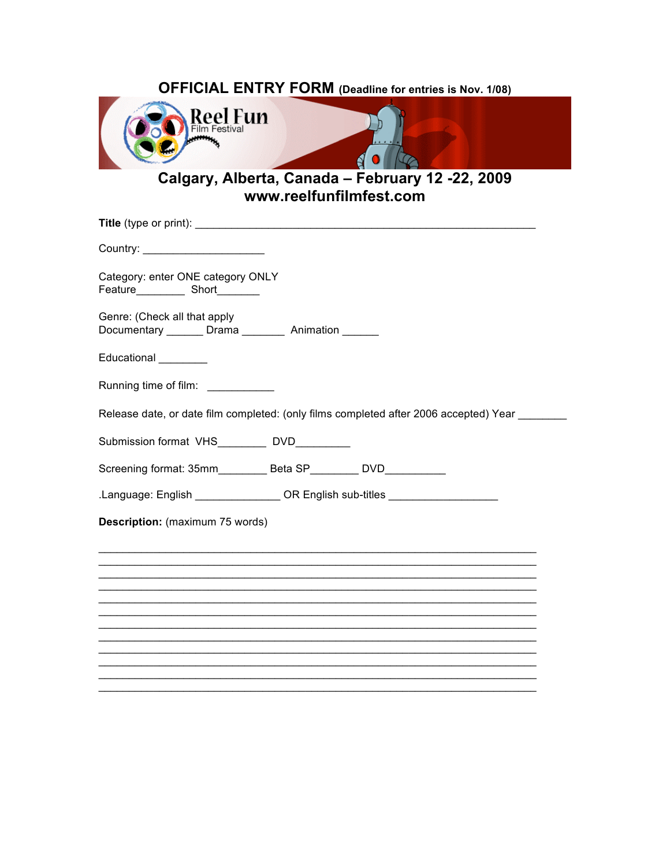| <b>OFFICIAL ENTRY FORM (Deadline for entries is Nov. 1/08)</b> |  |
|----------------------------------------------------------------|--|
| <b>Reel Fun</b><br>.                                           |  |
| .                                                              |  |

Calgary, Alberta, Canada - February 12 -22, 2009<br>www.reelfunfilmfest.com

| Country: _________________________                                                    |
|---------------------------------------------------------------------------------------|
| Category: enter ONE category ONLY                                                     |
| Genre: (Check all that apply<br>Documentary _______ Drama ________ Animation ______   |
| Educational ________                                                                  |
| Running time of film: ___________                                                     |
| Release date, or date film completed: (only films completed after 2006 accepted) Year |
| Submission format VHS_________ DVD________                                            |
| Screening format: 35mm____________ Beta SP___________ DVD____________                 |
| Language: English _________________OR English sub-titles _______________________      |
| Description: (maximum 75 words)                                                       |
|                                                                                       |
|                                                                                       |
|                                                                                       |
|                                                                                       |
|                                                                                       |
|                                                                                       |